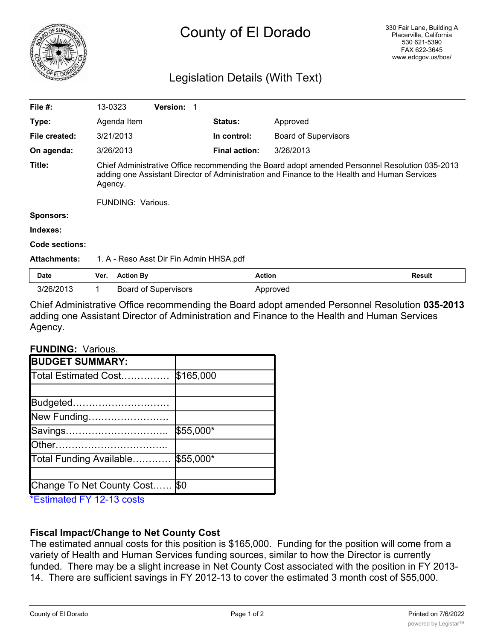

# County of El Dorado

# Legislation Details (With Text)

| File $#$ :            | 13-0323                                                                                                                                                                                                   |                  | <b>Version: 1</b>           |  |                      |                             |               |
|-----------------------|-----------------------------------------------------------------------------------------------------------------------------------------------------------------------------------------------------------|------------------|-----------------------------|--|----------------------|-----------------------------|---------------|
| Type:                 | Agenda Item                                                                                                                                                                                               |                  |                             |  | <b>Status:</b>       | Approved                    |               |
| File created:         | 3/21/2013                                                                                                                                                                                                 |                  |                             |  | In control:          | <b>Board of Supervisors</b> |               |
| On agenda:            | 3/26/2013                                                                                                                                                                                                 |                  |                             |  | <b>Final action:</b> | 3/26/2013                   |               |
| Title:                | Chief Administrative Office recommending the Board adopt amended Personnel Resolution 035-2013<br>adding one Assistant Director of Administration and Finance to the Health and Human Services<br>Agency. |                  |                             |  |                      |                             |               |
|                       | <b>FUNDING: Various.</b>                                                                                                                                                                                  |                  |                             |  |                      |                             |               |
| <b>Sponsors:</b>      |                                                                                                                                                                                                           |                  |                             |  |                      |                             |               |
| Indexes:              |                                                                                                                                                                                                           |                  |                             |  |                      |                             |               |
| <b>Code sections:</b> |                                                                                                                                                                                                           |                  |                             |  |                      |                             |               |
| <b>Attachments:</b>   | 1. A - Reso Asst Dir Fin Admin HHSA.pdf                                                                                                                                                                   |                  |                             |  |                      |                             |               |
| <b>Date</b>           | Ver.                                                                                                                                                                                                      | <b>Action By</b> |                             |  | <b>Action</b>        |                             | <b>Result</b> |
| 3/26/2013             | 1                                                                                                                                                                                                         |                  | <b>Board of Supervisors</b> |  |                      | Approved                    |               |

Chief Administrative Office recommending the Board adopt amended Personnel Resolution **035-2013** adding one Assistant Director of Administration and Finance to the Health and Human Services Agency.

#### **FUNDING:** Various.

| <b>BUDGET SUMMARY:</b>    |           |
|---------------------------|-----------|
| Total Estimated Cost      | \$165,000 |
|                           |           |
| Budgeted                  |           |
| New Funding               |           |
| Savings                   | \$55,000* |
| lOther                    |           |
| Total Funding Available   | \$55,000* |
|                           |           |
| Change To Net County Cost | \$0       |

\*Estimated FY 12-13 costs

### **Fiscal Impact/Change to Net County Cost**

The estimated annual costs for this position is \$165,000. Funding for the position will come from a variety of Health and Human Services funding sources, similar to how the Director is currently funded. There may be a slight increase in Net County Cost associated with the position in FY 2013- 14. There are sufficient savings in FY 2012-13 to cover the estimated 3 month cost of \$55,000.